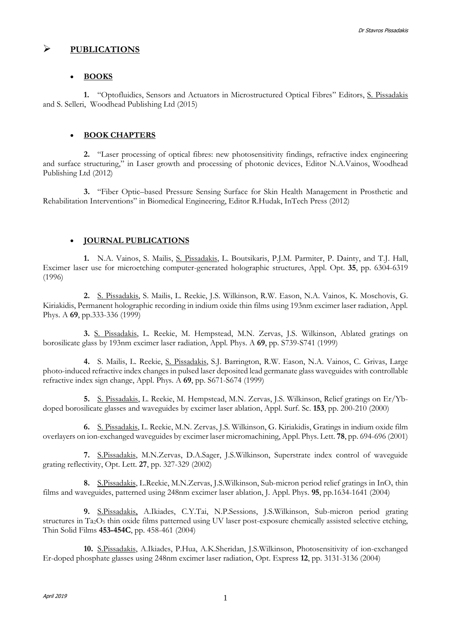# **PUBLICATIONS**

## **BOOKS**

**1.** "Optofluidics, Sensors and Actuators in Microstructured Optical Fibres" Editors, S. Pissadakis and S. Selleri, Woodhead Publishing Ltd (2015)

## **BOOK CHAPTERS**

**2.** "Laser processing of optical fibres: new photosensitivity findings, refractive index engineering and surface structuring," in Laser growth and processing of photonic devices, Editor N.A.Vainos, Woodhead Publishing Ltd (2012)

**3.** "Fiber Optic–based Pressure Sensing Surface for Skin Health Management in Prosthetic and Rehabilitation Interventions" in Biomedical Engineering, Editor R.Hudak, InTech Press (2012)

# **JOURNAL PUBLICATIONS**

**1.** N.A. Vainos, S. Mailis, S. Pissadakis, L. Boutsikaris, P.J.M. Parmiter, P. Dainty, and T.J. Hall, Excimer laser use for microetching computer-generated holographic structures, Appl. Opt. **35**, pp. 6304-6319 (1996)

**2.** S. Pissadakis, S. Mailis, L. Reekie, J.S. Wilkinson, R.W. Eason, N.A. Vainos, K. Moschovis, G. Kiriakidis, Permanent holographic recording in indium oxide thin films using 193nm excimer laser radiation, Appl. Phys. A **69**, pp.333-336 (1999)

**3.** S. Pissadakis, L. Reekie, M. Hempstead, M.N. Zervas, J.S. Wilkinson, Ablated gratings on borosilicate glass by 193nm excimer laser radiation, Appl. Phys. A **69**, pp. S739-S741 (1999)

**4.** S. Mailis, L. Reekie, S. Pissadakis, S.J. Barrington, R.W. Eason, N.A. Vainos, C. Grivas, Large photo-induced refractive index changes in pulsed laser deposited lead germanate glass waveguides with controllable refractive index sign change, Appl. Phys. A **69**, pp. S671-S674 (1999)

**5.** S. Pissadakis, L. Reekie, M. Hempstead, M.N. Zervas, J.S. Wilkinson, Relief gratings on Er/Ybdoped borosilicate glasses and waveguides by excimer laser ablation, Appl. Surf. Sc. **153**, pp. 200-210 (2000)

**6.** S. Pissadakis, L. Reekie, M.N. Zervas, J.S. Wilkinson, G. Kiriakidis, Gratings in indium oxide film overlayers on ion-exchanged waveguides by excimer laser micromachining, Appl. Phys. Lett. **78**, pp. 694-696 (2001)

**7.** S.Pissadakis, M.N.Zervas, D.A.Sager, J.S.Wilkinson, Superstrate index control of waveguide grating reflectivity, Opt. Lett. **27**, pp. 327-329 (2002)

**8.** S.Pissadakis, L.Reekie, M.N.Zervas, J.S.Wilkinson, Sub-micron period relief gratings in InO<sup>x</sup> thin films and waveguides, patterned using 248nm excimer laser ablation, J. Appl. Phys. **95**, pp.1634-1641 (2004)

**9.** S.Pissadakis, A.Ikiades, C.Y.Tai, N.P.Sessions, J.S.Wilkinson, Sub-micron period grating structures in Ta2O<sup>5</sup> thin oxide films patterned using UV laser post-exposure chemically assisted selective etching, Thin Solid Films **453-454C**, pp. 458-461 (2004)

**10.** S.Pissadakis, A.Ikiades, P.Hua, A.K.Sheridan, J.S.Wilkinson, Photosensitivity of ion-exchanged Er-doped phosphate glasses using 248nm excimer laser radiation, Opt. Express **12**, pp. 3131-3136 (2004)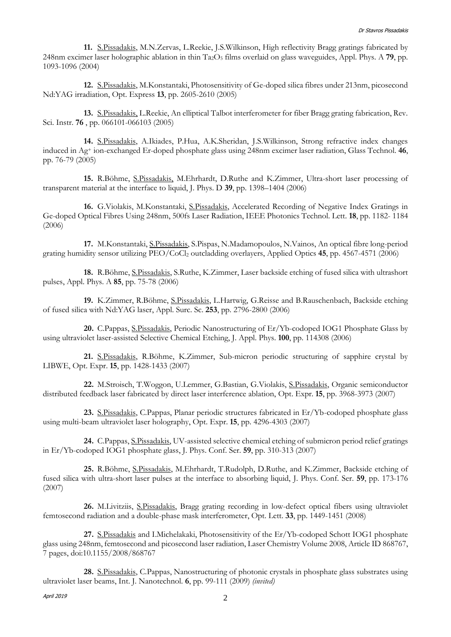**11.** S.Pissadakis, M.N.Zervas, L.Reekie, J.S.Wilkinson, High reflectivity Bragg gratings fabricated by 248nm excimer laser holographic ablation in thin Ta2O<sup>5</sup> films overlaid on glass waveguides, Appl. Phys. A **79**, pp. 1093-1096 (2004)

**12.** S.Pissadakis, M.Konstantaki, Photosensitivity of Ge-doped silica fibres under 213nm, picosecond Nd:YAG irradiation, Opt. Express **13**, pp. 2605-2610 (2005)

**13.** S.Pissadakis, L.Reekie, An elliptical Talbot interferometer for fiber Bragg grating fabrication, Rev. Sci. Instr. **76** , pp. 066101-066103 (2005)

**14.** S.Pissadakis, A.Ikiades, P.Hua, A.K.Sheridan, J.S.Wilkinson, Strong refractive index changes induced in Ag<sup>+</sup> ion-exchanged Er-doped phosphate glass using 248nm excimer laser radiation, Glass Technol. **46**, pp. 76-79 (2005)

**15.** R.Böhme, S.Pissadakis, M.Ehrhardt, D.Ruthe and K.Zimmer, Ultra-short laser processing of transparent material at the interface to liquid, J. Phys. D **39**, pp. 1398–1404 (2006)

**16.** G.Violakis, M.Konstantaki, S.Pissadakis, Accelerated Recording of Negative Index Gratings in Ge-doped Optical Fibres Using 248nm, 500fs Laser Radiation, IEEE Photonics Technol. Lett. **18**, pp. 1182- 1184 (2006)

**17.** M.Konstantaki, S.Pissadakis, S.Pispas, N.Madamopoulos, N.Vainos, An optical fibre long-period grating humidity sensor utilizing PEO/CoCl<sup>2</sup> outcladding overlayers, Applied Optics **45**, pp. 4567-4571 (2006)

**18.** R.Böhme, S.Pissadakis, S.Ruthe, K.Zimmer, Laser backside etching of fused silica with ultrashort pulses, Appl. Phys. A **85**, pp. 75-78 (2006)

**19.** K.Zimmer, R.Böhme, S.Pissadakis, L.Hartwig, G.Reisse and B.Rauschenbach, Backside etching of fused silica with Nd:YAG laser, Appl. Surc. Sc. **253**, pp. 2796-2800 (2006)

**20.** C.Pappas, S.Pissadakis, Periodic Nanostructuring of Er/Yb-codoped IOG1 Phosphate Glass by using ultraviolet laser-assisted Selective Chemical Etching, J. Appl. Phys. **100**, pp. 114308 (2006)

**21.** S.Pissadakis, R.Böhme, K.Zimmer, Sub-micron periodic structuring of sapphire crystal by LIBWE, Opt. Expr. **15**, pp. 1428-1433 (2007)

**22.** M.Stroisch, T.Woggon, U.Lemmer, G.Bastian, G.Violakis, S.Pissadakis, Organic semiconductor distributed feedback laser fabricated by direct laser interference ablation, Opt. Expr. **15**, pp. 3968-3973 (2007)

**23.** S.Pissadakis, C.Pappas, Planar periodic structures fabricated in Er/Yb-codoped phosphate glass using multi-beam ultraviolet laser holography, Opt. Expr. **15**, pp. 4296-4303 (2007)

**24.** C.Pappas, S.Pissadakis, UV-assisted selective chemical etching of submicron period relief gratings in Er/Yb-codoped IOG1 phosphate glass, J. Phys. Conf. Ser. **59**, pp. 310-313 (2007)

**25.** R.Böhme, S.Pissadakis, M.Ehrhardt, T.Rudolph, D.Ruthe, and K.Zimmer, Backside etching of fused silica with ultra-short laser pulses at the interface to absorbing liquid, J. Phys. Conf. Ser. **59**, pp. 173-176 (2007)

**26.** M.Livitziis, S.Pissadakis, Bragg grating recording in low-defect optical fibers using ultraviolet femtosecond radiation and a double-phase mask interferometer, Opt. Lett. **33**, pp. 1449-1451 (2008)

**27.** S.Pissadakis and I.Michelakaki, Photosensitivity of the Er/Yb-codoped Schott IOG1 phosphate glass using 248nm, femtosecond and picosecond laser radiation, Laser Chemistry Volume 2008, Article ID 868767, 7 pages, doi:10.1155/2008/868767

**28.** S.Pissadakis, C.Pappas, Nanostructuring of photonic crystals in phosphate glass substrates using ultraviolet laser beams, Int. J. Nanotechnol. **6**, pp. 99-111 (2009) *(invited)*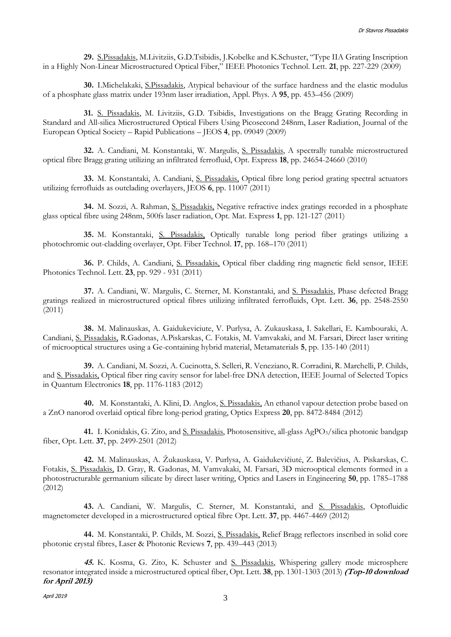**29.** S.Pissadakis, M.Livitziis, G.D.Tsibidis, J.Kobelke and K.Schuster, "Type IIA Grating Inscription in a Highly Non-Linear Microstructured Optical Fiber," IEEE Photonics Technol. Lett. **21**, pp. 227-229 (2009)

**30.** I.Michelakaki, S.Pissadakis, Atypical behaviour of the surface hardness and the elastic modulus of a phosphate glass matrix under 193nm laser irradiation, Appl. Phys. A **95**, pp. 453–456 (2009)

**31.** S. Pissadakis, M. Livitziis, G.D. Tsibidis, Investigations on the Bragg Grating Recording in Standard and All-silica Microstructured Optical Fibers Using Picosecond 248nm, Laser Radiation, Journal of the European Optical Society – Rapid Publications – JEOS **4**, pp. 09049 (2009)

**32.** A. Candiani, M. Konstantaki, W. Margulis, S. Pissadakis, A spectrally tunable microstructured optical fibre Bragg grating utilizing an infiltrated ferrofluid, Opt. Express **18**, pp. 24654-24660 (2010)

**33.** M. Konstantaki, A. Candiani, S. Pissadakis, Optical fibre long period grating spectral actuators utilizing ferrofluids as outclading overlayers, JEOS **6**, pp. 11007 (2011)

**34.** M. Sozzi, A. Rahman, S. Pissadakis, Negative refractive index gratings recorded in a phosphate glass optical fibre using 248nm, 500fs laser radiation, Opt. Mat. Express **1**, pp. 121-127 (2011)

**35.** M. Konstantaki, S. Pissadakis, Optically tunable long period fiber gratings utilizing a photochromic out-cladding overlayer, Opt. Fiber Technol. **17**, pp. 168–170 (2011)

**36.** P. Childs, A. Candiani, S. Pissadakis, Optical fiber cladding ring magnetic field sensor, IEEE Photonics Technol. Lett. **23**, pp. 929 - 931 (2011)

**37.** A. Candiani, W. Margulis, C. Sterner, M. Konstantaki, and S. Pissadakis, Phase defected Bragg gratings realized in microstructured optical fibres utilizing infiltrated ferrofluids, Opt. Lett. **36**, pp. 2548-2550 (2011)

**38.** M. Malinauskas, A. Gaidukeviciute, V. Purlysa, A. Zukauskasa, I. Sakellari, E. Kambouraki, A. Candiani, S. Pissadakis, R.Gadonas, A.Piskarskas, C. Fotakis, M. Vamvakaki, and M. Farsari, Direct laser writing of microoptical structures using a Ge-containing hybrid material, Metamaterials **5**, pp. 135-140 (2011)

**39.** A. Candiani, M. Sozzi, A. Cucinotta, S. Selleri, R. Veneziano, R. Corradini, R. Marchelli, P. Childs, and S. Pissadakis, Optical fiber ring cavity sensor for label-free DNA detection, IEEE Journal of Selected Topics in Quantum Electronics **18**, pp. 1176-1183 (2012)

**40.** M. Konstantaki, A. Klini, D. Anglos, S. Pissadakis, An ethanol vapour detection probe based on a ZnO nanorod overlaid optical fibre long-period grating, Optics Express **20**, pp. 8472-8484 (2012)

41. I. Konidakis, G. Zito, and <u>S. Pissadakis</u>, Photosensitive, all-glass AgPO<sub>3</sub>/silica photonic bandgap fiber, Opt. Lett. **37**, pp. 2499-2501 (2012)

**42.** M. Malinauskas, A. Žukauskasa, V. Purlysa, A. Gaidukevičiutė, Z. Balevičius, A. Piskarskas, C. Fotakis, S. Pissadakis, D. Gray, R. Gadonas, M. Vamvakaki, M. Farsari, 3D microoptical elements formed in a photostructurable germanium silicate by direct laser writing, Optics and Lasers in Engineering **50**, pp. 1785–1788 (2012)

**43.** A. Candiani, W. Margulis, C. Sterner, M. Konstantaki, and S. Pissadakis, Optofluidic magnetometer developed in a microstructured optical fibre Opt. Lett. **37**, pp. 4467-4469 (2012)

**44.** M. Konstantaki, P. Childs, M. Sozzi, S. Pissadakis, Relief Bragg reflectors inscribed in solid core photonic crystal fibres, Laser & Photonic Reviews **7**, pp. 439–443 (2013)

**45.** K. Kosma, G. Zito, K. Schuster and S. Pissadakis, Whispering gallery mode microsphere resonator integrated inside a microstructured optical fiber, Opt. Lett. **38**, pp. 1301-1303 (2013) **(Top-10 download for April 2013)**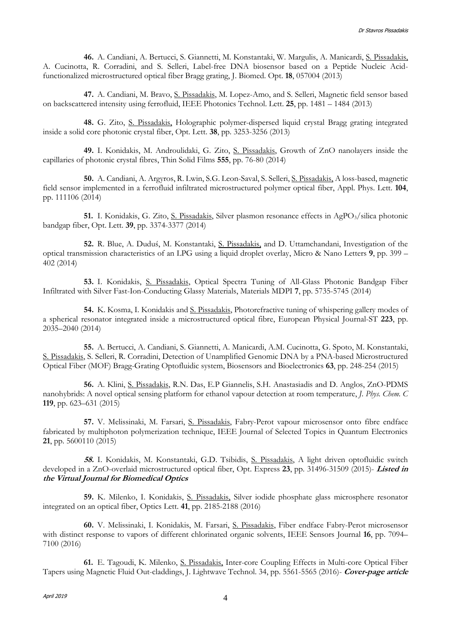**46.** A. Candiani, A. Bertucci, S. Giannetti, M. Konstantaki, W. Margulis, A. Manicardi, S. Pissadakis, A. Cucinotta, R. Corradini, and S. Selleri, Label-free DNA biosensor based on a Peptide Nucleic Acidfunctionalized microstructured optical fiber Bragg grating, J. Biomed. Opt. **18**, 057004 (2013)

**47.** A. Candiani, M. Bravo, S. Pissadakis, M. Lopez-Amo, and S. Selleri, Magnetic field sensor based on backscattered intensity using ferrofluid, IEEE Photonics Technol. Lett. **25**, pp. 1481 – 1484 (2013)

**48.** G. Zito, S. Pissadakis, Holographic polymer-dispersed liquid crystal Bragg grating integrated inside a solid core photonic crystal fiber, Opt. Lett. **38**, pp. 3253-3256 (2013)

**49.** I. Konidakis, M. Androulidaki, G. Zito, S. Pissadakis, Growth of ZnO nanolayers inside the capillaries of photonic crystal fibres, Thin Solid Films **555**, pp. 76-80 (2014)

**50.** A. Candiani, A. Argyros, R. Lwin, S.G. Leon-Saval, S. Selleri, S. Pissadakis, A loss-based, magnetic field sensor implemented in a ferrofluid infiltrated microstructured polymer optical fiber, Appl. Phys. Lett. **104**, pp. 111106 (2014)

**51.** I. Konidakis, G. Zito, S. Pissadakis, Silver plasmon resonance effects in AgPO<sub>3</sub>/silica photonic bandgap fiber, Opt. Lett. **39**, pp. 3374-3377 (2014)

**52.** R. Blue, A. Duduś, M. Konstantaki, S. Pissadakis, and D. Uttamchandani, Investigation of the optical transmission characteristics of an LPG using a liquid droplet overlay, Micro & Nano Letters **9**, pp. 399 – 402 (2014)

**53.** I. Konidakis, S. Pissadakis, Optical Spectra Tuning of All-Glass Photonic Bandgap Fiber Infiltrated with Silver Fast-Ion-Conducting Glassy Materials, Materials MDPI **7**, pp. 5735-5745 (2014)

**54.** K. Kosma, I. Konidakis and S. Pissadakis, Photorefractive tuning of whispering gallery modes of a spherical resonator integrated inside a microstructured optical fibre, European Physical Journal-ST **223**, pp. 2035–2040 (2014)

**55.** A. Bertucci, A. Candiani, S. Giannetti, A. Manicardi, A.M. Cucinotta, G. Spoto, M. Konstantaki, S. Pissadakis, S. Selleri, R. Corradini, Detection of Unamplified Genomic DNA by a PNA-based Microstructured Optical Fiber (MOF) Bragg-Grating Optofluidic system, Biosensors and Bioelectronics **63**, pp. 248-254 (2015)

**56.** A. Klini, S. Pissadakis, R.N. Das, E.P Giannelis, S.H. Anastasiadis and D. Anglos, ZnO-PDMS nanohybrids: A novel optical sensing platform for ethanol vapour detection at room temperature, *J. Phys. Chem. C* **119**, pp. 623–631 (2015)

**57.** V. Melissinaki, M. Farsari, S. Pissadakis, Fabry-Perot vapour microsensor onto fibre endface fabricated by multiphoton polymerization technique, IEEE Journal of Selected Topics in Quantum Electronics **21**, pp. 5600110 (2015)

**58.** I. Konidakis, M. Konstantaki, G.D. Tsibidis, S. Pissadakis, A light driven optofluidic switch developed in a ZnO-overlaid microstructured optical fiber, Opt. Express **23**, pp. 31496-31509 (2015)- **Listed in the Virtual Journal for Biomedical Optics**

**59.** K. Milenko, I. Konidakis, S. Pissadakis, Silver iodide phosphate glass microsphere resonator integrated on an optical fiber, Optics Lett. **41**, pp. 2185-2188 (2016)

**60.** V. Melissinaki, I. Konidakis, M. Farsari, S. Pissadakis, Fiber endface Fabry-Perot microsensor with distinct response to vapors of different chlorinated organic solvents, IEEE Sensors Journal **16**, pp. 7094– 7100 (2016)

**61.** E. Tagoudi, K. Milenko, S. Pissadakis, Inter-core Coupling Effects in Multi-core Optical Fiber Tapers using Magnetic Fluid Out-claddings, J. Lightwave Technol. 34, pp. 5561-5565 (2016)- **Cover-page article**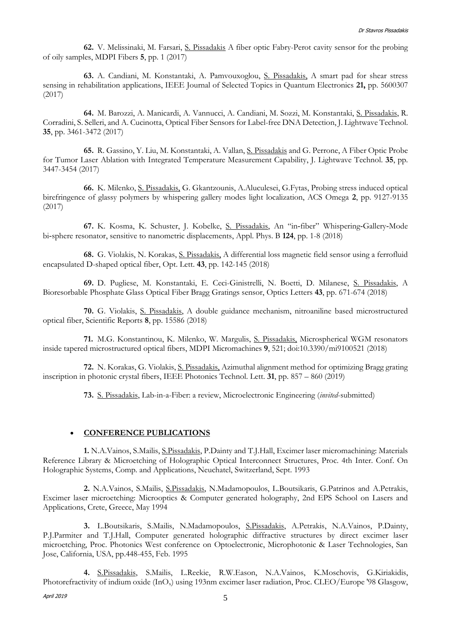**62.** V. Melissinaki, M. Farsari, S. Pissadakis A fiber optic Fabry-Perot cavity sensor for the probing of oily samples, MDPI Fibers **5**, pp. 1 (2017)

**63.** A. Candiani, M. Konstantaki, A. Pamvouxoglou, S. Pissadakis, A smart pad for shear stress sensing in rehabilitation applications, IEEE Journal of Selected Topics in Quantum Electronics **21,** pp. 5600307 (2017)

**64.** M. Barozzi, A. Manicardi, A. Vannucci, A. Candiani, M. Sozzi, M. Konstantaki, S. Pissadakis, R. Corradini, S. Selleri, and A. Cucinotta, Optical Fiber Sensors for Label-free DNA Detection, J. Lightwave Technol. **35**, pp. 3461-3472 (2017)

**65.** R. Gassino, Y. Liu, M. Konstantaki, A. Vallan, S. Pissadakis and G. Perrone, A Fiber Optic Probe for Tumor Laser Ablation with Integrated Temperature Measurement Capability, J. Lightwave Technol. **35**, pp. 3447-3454 (2017)

**66.** K. Milenko, S. Pissadakis, G. Gkantzounis, A.Aluculesei, G.Fytas, Probing stress induced optical birefringence of glassy polymers by whispering gallery modes light localization, ACS Omega **2**, pp. 9127-9135 (2017)

**67.** K. Kosma, K. Schuster, J. Kobelke, S. Pissadakis, An "in‑fiber" Whispering‑Gallery‑Mode bi‑sphere resonator, sensitive to nanometric displacements, Appl. Phys. B **124**, pp. 1-8 (2018)

**68.** G. Violakis, N. Korakas, S. Pissadakis, A differential loss magnetic field sensor using a ferrofluid encapsulated D-shaped optical fiber, Opt. Lett. **43**, pp. 142-145 (2018)

**69.** D. Pugliese, M. Konstantaki, E. Ceci-Ginistrelli, N. Boetti, D. Milanese, S. Pissadakis, A Bioresorbable Phosphate Glass Optical Fiber Bragg Gratings sensor, Optics Letters **43**, pp. 671-674 (2018)

**70.** G. Violakis, S. Pissadakis, A double guidance mechanism, nitroaniline based microstructured optical fiber, Scientific Reports **8**, pp. 15586 (2018)

**71.** M.G. Konstantinou, K. Milenko, W. Margulis, S. Pissadakis, Microspherical WGM resonators inside tapered microstructured optical fibers, MDPI Micromachines **9**, 521; doi:10.3390/mi9100521 (2018)

**72.** N. Korakas, G. Violakis, S. Pissadakis, Azimuthal alignment method for optimizing Bragg grating inscription in photonic crystal fibers, IEEE Photonics Technol. Lett. **31**, pp. 857 – 860 (2019)

**73.** S. Pissadakis, Lab-in-a-Fiber: a review, Microelectronic Engineering (*invited*-submitted)

## **CONFERENCE PUBLICATIONS**

**1.** N.A.Vainos, S.Mailis, S.Pissadakis, P.Dainty and T.J.Hall, Excimer laser micromachining: Materials Reference Library & Microetching of Holographic Optical Interconnect Structures, Proc. 4th Inter. Conf. On Holographic Systems, Comp. and Applications, Neuchatel, Switzerland, Sept. 1993

**2.** N.A.Vainos, S.Mailis, S.Pissadakis, N.Madamopoulos, L.Boutsikaris, G.Patrinos and A.Petrakis, Excimer laser microetching: Microoptics & Computer generated holography, 2nd EPS School on Lasers and Applications, Crete, Greece, May 1994

**3.** L.Boutsikaris, S.Mailis, N.Madamopoulos, S.Pissadakis, A.Petrakis, N.A.Vainos, P.Dainty, P.J.Parmiter and T.J.Hall, Computer generated holographic diffractive structures by direct excimer laser microetching, Proc. Photonics West conference on Optoelectronic, Microphotonic & Laser Technologies, San Jose, California, USA, pp.448-455, Feb. 1995

**4.** S.Pissadakis, S.Mailis, L.Reekie, R.W.Eason, N.A.Vainos, K.Moschovis, G.Kiriakidis, Photorefractivity of indium oxide (InO<sub>x</sub>) using 193nm excimer laser radiation, Proc. CLEO/Europe '98 Glasgow,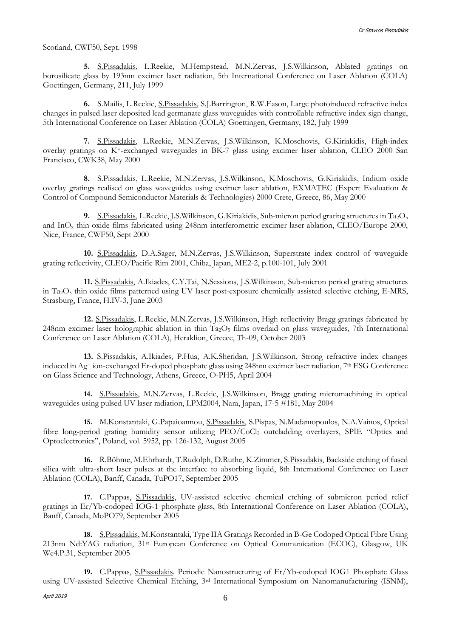Scotland, CWF50, Sept. 1998

**5.** S.Pissadakis, L.Reekie, M.Hempstead, M.N.Zervas, J.S.Wilkinson, Ablated gratings on borosilicate glass by 193nm excimer laser radiation, 5th International Conference on Laser Ablation (COLA) Goettingen, Germany, 211, July 1999

**6.** S.Mailis, L.Reekie, S.Pissadakis, S.J.Barrington, R.W.Eason, Large photoinduced refractive index changes in pulsed laser deposited lead germanate glass waveguides with controllable refractive index sign change, 5th International Conference on Laser Ablation (COLA) Goettingen, Germany, 182, July 1999

**7.** S.Pissadakis, L.Reekie, M.N.Zervas, J.S.Wilkinson, K.Moschovis, G.Kiriakidis, High-index overlay gratings on K+-exchanged waveguides in BK-7 glass using excimer laser ablation, CLEO 2000 San Francisco, CWK38, May 2000

**8.** S.Pissadakis, L.Reekie, M.N.Zervas, J.S.Wilkinson, K.Moschovis, G.Kiriakidis, Indium oxide overlay gratings realised on glass waveguides using excimer laser ablation, EXMATEC (Expert Evaluation & Control of Compound Semiconductor Materials & Technologies) 2000 Crete, Greece, 86, May 2000

**9.** S.Pissadakis, L.Reekie, J.S.Wilkinson, G.Kiriakidis, Sub-micron period grating structures in Ta<sub>2</sub>O<sub>5</sub> and InO<sup>x</sup> thin oxide films fabricated using 248nm interferometric excimer laser ablation, CLEO/Europe 2000, Nice, France, CWF50, Sept 2000

**10.** S.Pissadakis, D.A.Sager, M.N.Zervas, J.S.Wilkinson, Superstrate index control of waveguide grating reflectivity, CLEO/Pacific Rim 2001, Chiba, Japan, ME2-2, p.100-101, July 2001

**11.** S.Pissadakis, A.Ikiades, C.Y.Tai, N.Sessions, J.S.Wilkinson, Sub-micron period grating structures in Ta2O<sup>5</sup> thin oxide films patterned using UV laser post-exposure chemically assisted selective etching, E-MRS, Strasburg, France, H.IV-3, June 2003

**12.** S.Pissadakis, L.Reekie, M.N.Zervas, J.S.Wilkinson, High reflectivity Bragg gratings fabricated by 248nm excimer laser holographic ablation in thin  $Ta_2O_5$  films overlaid on glass waveguides, 7th International Conference on Laser Ablation (COLA), Heraklion, Greece, Th-09, October 2003

**13.** S.Pissadakis, A.Ikiades, P.Hua, A.K.Sheridan, J.S.Wilkinson, Strong refractive index changes induced in Ag<sup>+</sup> ion-exchanged Er-doped phosphate glass using 248nm excimer laser radiation, 7th ESG Conference on Glass Science and Technology, Athens, Greece, O-PH5, April 2004

**14.** S.Pissadakis, M.N.Zervas, L.Reekie, J.S.Wilkinson, Bragg grating micromachining in optical waveguides using pulsed UV laser radiation, LPM2004, Nara, Japan, 17-5 #181, May 2004

**15.** M.Konstantaki, G.Papaioannou, S.Pissadakis, S.Pispas, N.Madamopoulos, N.A.Vainos, Optical fibre long-period grating humidity sensor utilizing PEO/CoCl<sub>2</sub> outcladding overlayers, SPIE "Optics and Optoelectronics", Poland, vol. 5952, pp. 126-132, August 2005

**16.** R.Böhme, M.Ehrhardt, T.Rudolph, D.Ruthe, K.Zimmer, S.Pissadakis, Backside etching of fused silica with ultra-short laser pulses at the interface to absorbing liquid, 8th International Conference on Laser Ablation (COLA), Banff, Canada, TuPO17, September 2005

**17.** C.Pappas, S.Pissadakis, UV-assisted selective chemical etching of submicron period relief gratings in Er/Yb-codoped IOG-1 phosphate glass, 8th International Conference on Laser Ablation (COLA), Banff, Canada, MoPO79, September 2005

**18.** S.Pissadakis, M.Konstantaki, Type IIA Gratings Recorded in B-Ge Codoped Optical Fibre Using 213nm Nd:YAG radiation, 31st European Conference on Optical Communication (ECOC), Glasgow, UK We4.P.31, September 2005

**19.** C.Pappas, S.Pissadakis. Periodic Nanostructuring of Er/Yb-codoped IOG1 Phosphate Glass using UV-assisted Selective Chemical Etching, 3rd International Symposium on Nanomanufacturing (ISNM),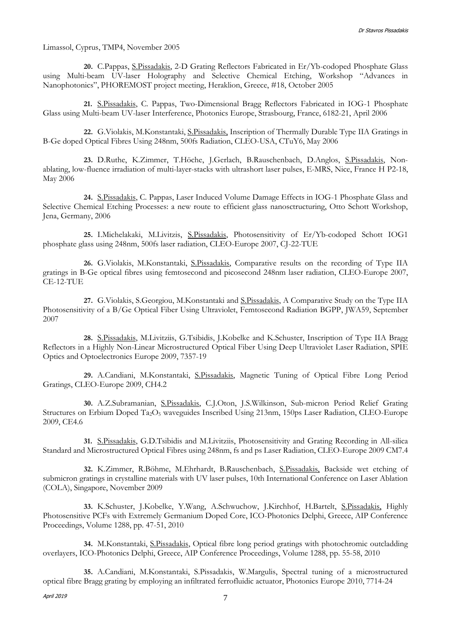Limassol, Cyprus, TMP4, November 2005

**20.** C.Pappas, S.Pissadakis, 2-D Grating Reflectors Fabricated in Er/Yb-codoped Phosphate Glass using Multi-beam UV-laser Holography and Selective Chemical Etching, Workshop "Advances in Nanophotonics", PHOREMOST project meeting, Heraklion, Greece, #18, October 2005

**21.** S.Pissadakis, C. Pappas, Two-Dimensional Bragg Reflectors Fabricated in IOG-1 Phosphate Glass using Multi-beam UV-laser Interference, Photonics Europe, Strasbourg, France, 6182-21, April 2006

**22.** G.Violakis, M.Konstantaki, S.Pissadakis, Inscription of Thermally Durable Type IIA Gratings in B-Ge doped Optical Fibres Using 248nm, 500fs Radiation, CLEO-USA, CTuY6, May 2006

**23.** D.Ruthe, K.Zimmer, T.Höche, J.Gerlach, B.Rauschenbach, D.Anglos, S.Pissadakis, Nonablating, low-fluence irradiation of multi-layer-stacks with ultrashort laser pulses, E-MRS, Nice, France H P2-18, May 2006

**24.** S.Pissadakis, C. Pappas, Laser Induced Volume Damage Effects in IOG-1 Phosphate Glass and Selective Chemical Etching Processes: a new route to efficient glass nanosctructuring, Otto Schott Workshop, Jena, Germany, 2006

**25.** I.Michelakaki, M.Livitzis, S.Pissadakis, Photosensitivity of Er/Yb-codoped Schott IOG1 phosphate glass using 248nm, 500fs laser radiation, CLEO-Europe 2007, CJ-22-TUE

**26.** G.Violakis, M.Konstantaki, S.Pissadakis, Comparative results on the recording of Type IIA gratings in B-Ge optical fibres using femtosecond and picosecond 248nm laser radiation, CLEO-Europe 2007, CE-12-TUE

**27.** G.Violakis, S.Georgiou, M.Konstantaki and S.Pissadakis, A Comparative Study on the Type IIA Photosensitivity of a B/Ge Optical Fiber Using Ultraviolet, Femtosecond Radiation BGPP, JWA59, September 2007

**28.** S.Pissadakis, M.Livitziis, G.Tsibidis, J.Kobelke and K.Schuster, Inscription of Type IIA Bragg Reflectors in a Highly Non-Linear Microstructured Optical Fiber Using Deep Ultraviolet Laser Radiation, SPIE Optics and Optoelectronics Europe 2009, 7357-19

**29.** A.Candiani, M.Konstantaki, S.Pissadakis, Magnetic Tuning of Optical Fibre Long Period Gratings, CLEO-Europe 2009, CH4.2

**30.** A.Z.Subramanian, S.Pissadakis, C.J.Oton, J.S.Wilkinson, Sub-micron Period Relief Grating Structures on Erbium Doped Ta<sub>2</sub>O<sub>5</sub> waveguides Inscribed Using 213nm, 150ps Laser Radiation, CLEO-Europe 2009, CE4.6

**31.** S.Pissadakis, G.D.Tsibidis and M.Livitziis, Photosensitivity and Grating Recording in All-silica Standard and Microstructured Optical Fibres using 248nm, fs and ps Laser Radiation, CLEO-Europe 2009 CM7.4

**32.** K.Zimmer, R.Böhme, M.Ehrhardt, B.Rauschenbach, S.Pissadakis, Backside wet etching of submicron gratings in crystalline materials with UV laser pulses, 10th International Conference on Laser Ablation (COLA), Singapore, November 2009

**33.** K.Schuster, J.Kobelke, Y.Wang, A.Schwuchow, J.Kirchhof, H.Bartelt, S.Pissadakis, Highly Photosensitive PCFs with Extremely Germanium Doped Core, ICO-Photonics Delphi, Greece, AIP Conference Proceedings, Volume 1288, pp. 47-51, 2010

**34.** M.Konstantaki, S.Pissadakis, Optical fibre long period gratings with photochromic outcladding overlayers, ICO-Photonics Delphi, Greece, AIP Conference Proceedings, Volume 1288, pp. 55-58, 2010

**35.** A.Candiani, M.Konstantaki, S.Pissadakis, W.Margulis, Spectral tuning of a microstructured optical fibre Bragg grating by employing an infiltrated ferrofluidic actuator, Photonics Europe 2010, 7714-24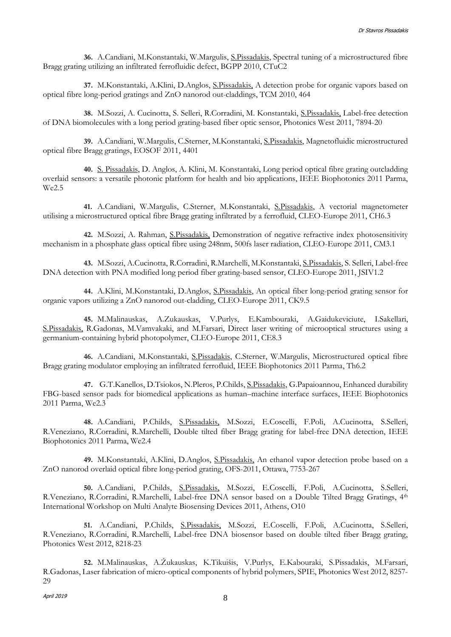**36.** A.Candiani, M.Konstantaki, W.Margulis, S.Pissadakis, Spectral tuning of a microstructured fibre Bragg grating utilizing an infiltrated ferrofluidic defect, BGPP 2010, CTuC2

**37.** M.Konstantaki, A.Klini, D.Anglos, S.Pissadakis, A detection probe for organic vapors based on optical fibre long-period gratings and ZnO nanorod out-claddings, TCM 2010, 464

**38.** M.Sozzi, A. Cucinotta, S. Selleri, R.Corradini, M. Konstantaki, S.Pissadakis, Label-free detection of DNA biomolecules with a long period grating-based fiber optic sensor, Photonics West 2011, 7894-20

**39.** A.Candiani, W.Margulis, C.Sterner, M.Konstantaki, S.Pissadakis, Magnetofluidic microstructured optical fibre Bragg gratings, EOSOF 2011, 4401

**40.** S. Pissadakis, D. Anglos, A. Klini, M. Konstantaki, Long period optical fibre grating outcladding overlaid sensors: a versatile photonic platform for health and bio applications, IEEE Biophotonics 2011 Parma, We2.5

**41.** A.Candiani, W.Margulis, C.Sterner, M.Konstantaki, S.Pissadakis, A vectorial magnetometer utilising a microstructured optical fibre Bragg grating infiltrated by a ferrofluid, CLEO-Europe 2011, CH6.3

**42.** M.Sozzi, A. Rahman, S.Pissadakis, Demonstration of negative refractive index photosensitivity mechanism in a phosphate glass optical fibre using 248nm, 500fs laser radiation, CLEO-Europe 2011, CM3.1

**43.** M.Sozzi, A.Cucinotta, R.Corradini, R.Marchelli, M.Konstantaki, S.Pissadakis, S. Selleri, Label-free DNA detection with PNA modified long period fiber grating-based sensor, CLEO-Europe 2011, JSIV1.2

**44.** A.Klini, M.Konstantaki, D.Anglos, S.Pissadakis, An optical fiber long-period grating sensor for organic vapors utilizing a ZnO nanorod out-cladding, CLEO-Europe 2011, CK9.5

**45.** M.Malinauskas, A.Zukauskas, V.Purlys, E.Kambouraki, A.Gaidukeviciute, I.Sakellari, S.Pissadakis, R.Gadonas, M.Vamvakaki, and M.Farsari, Direct laser writing of microoptical structures using a germanium-containing hybrid photopolymer, CLEO-Europe 2011, CE8.3

**46.** A.Candiani, M.Konstantaki, S.Pissadakis, C.Sterner, W.Margulis, Microstructured optical fibre Bragg grating modulator employing an infiltrated ferrofluid, IEEE Biophotonics 2011 Parma, Th6.2

**47.** G.T.Kanellos, D.Tsiokos, N.Pleros, P.Childs, S.Pissadakis, G.Papaioannou, Enhanced durability FBG-based sensor pads for biomedical applications as human–machine interface surfaces, IEEE Biophotonics 2011 Parma, We2.3

**48.** A.Candiani, P.Childs, S.Pissadakis, M.Sozzi, E.Coscelli, F.Poli, A.Cucinotta, S.Selleri, R.Veneziano, R.Corradini, R.Marchelli, Double tilted fiber Bragg grating for label-free DNA detection, IEEE Biophotonics 2011 Parma, We2.4

**49.** M.Konstantaki, A.Klini, D.Anglos, S.Pissadakis, An ethanol vapor detection probe based on a ZnO nanorod overlaid optical fibre long-period grating, OFS-2011, Ottawa, 7753-267

**50.** A.Candiani, P.Childs, S.Pissadakis, M.Sozzi, E.Coscelli, F.Poli, A.Cucinotta, S.Selleri, R.Veneziano, R.Corradini, R.Marchelli, Label-free DNA sensor based on a Double Tilted Bragg Gratings, 4th International Workshop on Multi Analyte Biosensing Devices 2011, Athens, O10

**51.** A.Candiani, P.Childs, S.Pissadakis, M.Sozzi, E.Coscelli, F.Poli, A.Cucinotta, S.Selleri, R.Veneziano, R.Corradini, R.Marchelli, Label-free DNA biosensor based on double tilted fiber Bragg grating, Photonics West 2012, 8218-23

**52.** M.Malinauskas, A.Žukauskas, K.Tikuišis, V.Purlys, E.Kabouraki, S.Pissadakis, M.Farsari, R.Gadonas, Laser fabrication of micro-optical components of hybrid polymers, SPIE, Photonics West 2012, 8257- 29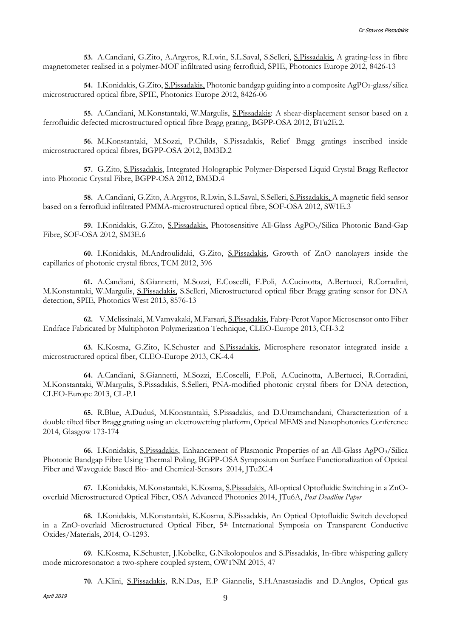**53.** A.Candiani, G.Zito, A.Argyros, R.Lwin, S.L.Saval, S.Selleri, S.Pissadakis, A grating-less in fibre magnetometer realised in a polymer-MOF infiltrated using ferrofluid, SPIE, Photonics Europe 2012, 8426-13

54. I.Konidakis, G.Zito, <u>S.Pissadakis</u>, Photonic bandgap guiding into a composite AgPO<sub>3</sub>-glass/silica microstructured optical fibre, SPIE, Photonics Europe 2012, 8426-06

**55.** A.Candiani, M.Konstantaki, W.Margulis, S.Pissadakis: A shear-displacement sensor based on a ferrofluidic defected microstructured optical fibre Bragg grating, BGPP-OSA 2012, BTu2E.2.

**56.** M.Konstantaki, M.Sozzi, P.Childs, S.Pissadakis, Relief Bragg gratings inscribed inside microstructured optical fibres, BGPP-OSA 2012, BM3D.2

**57.** G.Zito, S.Pissadakis, Integrated Holographic Polymer-Dispersed Liquid Crystal Bragg Reflector into Photonic Crystal Fibre, BGPP-OSA 2012, BM3D.4

**58.** A.Candiani, G.Zito, A.Argyros, R.Lwin, S.L.Saval, S.Selleri, S.Pissadakis, A magnetic field sensor based on a ferrofluid infiltrated PMMA-microstructured optical fibre, SOF-OSA 2012, SW1E.3

**59.** I.Konidakis, G.Zito, S.Pissadakis, Photosensitive All-Glass AgPO3/Silica Photonic Band-Gap Fibre, SOF-OSA 2012, SM3E.6

**60.** I.Konidakis, M.Androulidaki, G.Zito, S.Pissadakis, Growth of ZnO nanolayers inside the capillaries of photonic crystal fibres, TCM 2012, 396

**61.** A.Candiani, S.Giannetti, M.Sozzi, E.Coscelli, F.Poli, A.Cucinotta, A.Bertucci, R.Corradini, M.Konstantaki, W.Margulis, S.Pissadakis, S.Selleri, Microstructured optical fiber Bragg grating sensor for DNA detection, SPIE, Photonics West 2013, 8576-13

**62.** V.Melissinaki, M.Vamvakaki, M.Farsari, S.Pissadakis, Fabry-Perot Vapor Microsensor onto Fiber Endface Fabricated by Multiphoton Polymerization Technique, CLEO-Europe 2013, CH-3.2

**63.** K.Kosma, G.Zito, K.Schuster and S.Pissadakis, Microsphere resonator integrated inside a microstructured optical fiber, CLEO-Europe 2013, CK-4.4

**64.** A.Candiani, S.Giannetti, M.Sozzi, E.Coscelli, F.Poli, A.Cucinotta, A.Bertucci, R.Corradini, M.Konstantaki, W.Margulis, S.Pissadakis, S.Selleri, PNA-modified photonic crystal fibers for DNA detection, CLEO-Europe 2013, CL-P.1

**65.** R.Blue, A.Duduś, M.Konstantaki, S.Pissadakis, and D.Uttamchandani, Characterization of a double tilted fiber Bragg grating using an electrowetting platform, Optical MEMS and Nanophotonics Conference 2014, Glasgow 173-174

**66.** I.Konidakis, S.Pissadakis, Enhancement of Plasmonic Properties of an All-Glass AgPO3/Silica Photonic Bandgap Fibre Using Thermal Poling, BGPP-OSA Symposium on Surface Functionalization of Optical Fiber and Waveguide Based Bio- and Chemical-Sensors 2014, JTu2C.4

**67.** I.Konidakis, M.Konstantaki, K.Kosma, S.Pissadakis, All-optical Optofluidic Switching in a ZnOoverlaid Microstructured Optical Fiber, OSA Advanced Photonics 2014, JTu6A, *Post Deadline Paper*

**68.** I.Konidakis, M.Konstantaki, K.Kosma, S.Pissadakis, An Optical Optofluidic Switch developed in a ZnO-overlaid Microstructured Optical Fiber, 5<sup>th</sup> International Symposia on Transparent Conductive Oxides/Materials, 2014, O-1293.

**69.** K.Kosma, K.Schuster, J.Kobelke, G.Nikolopoulos and S.Pissadakis, In-fibre whispering gallery mode microresonator: a two-sphere coupled system, OWTNM 2015, 47

**70.** A.Klini, S.Pissadakis, R.N.Das, E.P Giannelis, S.H.Anastasiadis and D.Anglos, Optical gas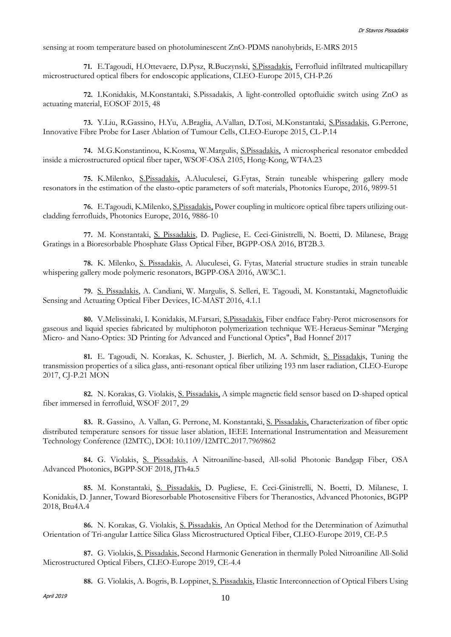sensing at room temperature based on photoluminescent ZnO-PDMS nanohybrids, E-MRS 2015

**71.** E.Tagoudi, H.Ottevaere, D.Pysz, R.Buczynski, S.Pissadakis, Ferrofluid infiltrated multicapillary microstructured optical fibers for endoscopic applications, CLEO-Europe 2015, CH-P.26

**72.** I.Konidakis, M.Konstantaki, S.Pissadakis, A light-controlled optofluidic switch using ZnO as actuating material, EOSOF 2015, 48

**73.** Y.Liu, R.Gassino, H.Yu, A.Braglia, A.Vallan, D.Tosi, M.Konstantaki, S.Pissadakis, G.Perrone, Innovative Fibre Probe for Laser Ablation of Tumour Cells, CLEO-Europe 2015, CL-P.14

**74.** M.G.Konstantinou, K.Kosma, W.Margulis, S.Pissadakis, A microspherical resonator embedded inside a microstructured optical fiber taper, WSOF-OSA 2105, Hong-Kong, WT4A.23

**75.** K.Milenko, S.Pissadakis, A.Aluculesei, G.Fytas, Strain tuneable whispering gallery mode resonators in the estimation of the elasto-optic parameters of soft materials, Photonics Europe, 2016, 9899-51

**76.** E.Tagoudi, K.Milenko, S.Pissadakis, Power coupling in multicore optical fibre tapers utilizing outcladding ferrofluids, Photonics Europe, 2016, 9886-10

**77.** M. Konstantaki, S. Pissadakis, D. Pugliese, E. Ceci-Ginistrelli, N. Boetti, D. Milanese, Bragg Gratings in a Bioresorbable Phosphate Glass Optical Fiber, BGPP-OSA 2016, BT2B.3.

**78.** K. Milenko, S. Pissadakis, A. Aluculesei, G. Fytas, Material structure studies in strain tuneable whispering gallery mode polymeric resonators, BGPP-OSA 2016, AW3C.1.

**79.** S. Pissadakis, A. Candiani, W. Margulis, S. Selleri, E. Tagoudi, M. Konstantaki, Magnetofluidic Sensing and Actuating Optical Fiber Devices, IC-MAST 2016, 4.1.1

**80.** V.Melissinaki, I. Konidakis, M.Farsari, S.Pissadakis, Fiber endface Fabry-Perot microsensors for gaseous and liquid species fabricated by multiphoton polymerization technique WE-Heraeus-Seminar "Merging Micro- and Nano-Optics: 3D Printing for Advanced and Functional Optics", Bad Honnef 2017

**81.** E. Tagoudi, N. Korakas, K. Schuster, J. Bierlich, M. A. Schmidt, S. Pissadakis, Tuning the transmission properties of a silica glass, anti-resonant optical fiber utilizing 193 nm laser radiation, CLEO-Europe 2017, CJ-P.21 MON

**82.** N. Korakas, G. Violakis, S. Pissadakis, A simple magnetic field sensor based on D-shaped optical fiber immersed in ferrofluid, WSOF 2017, 29

**83.** R. Gassino, A. Vallan, G. Perrone, M. Konstantaki, S. Pissadakis, Characterization of fiber optic distributed temperature sensors for tissue laser ablation, IEEE International Instrumentation and Measurement Technology Conference (I2MTC), DOI: 10.1109/I2MTC.2017.7969862

**84.** G. Violakis, S. Pissadakis, A Nitroaniline-based, All-solid Photonic Bandgap Fiber, OSA Advanced Photonics, BGPP-SOF 2018, JTh4a.5

**85.** M. Konstantaki, S. Pissadakis, D. Pugliese, E. Ceci-Ginistrelli, N. Boetti, D. Milanese, I. Konidakis, D. Janner, Toward Bioresorbable Photosensitive Fibers for Theranostics, Advanced Photonics, BGPP 2018, Btu4A.4

**86.** N. Korakas, G. Violakis, S. Pissadakis, An Optical Method for the Determination of Azimuthal Orientation of Tri-angular Lattice Silica Glass Microstructured Optical Fiber, CLEO-Europe 2019, CE-P.5

**87.** G. Violakis, S. Pissadakis, Second Harmonic Generation in thermally Poled Nitroaniline All-Solid Microstructured Optical Fibers, CLEO-Europe 2019, CE-4.4

**88.** G. Violakis, A. Bogris, B. Loppinet, S. Pissadakis, Elastic Interconnection of Optical Fibers Using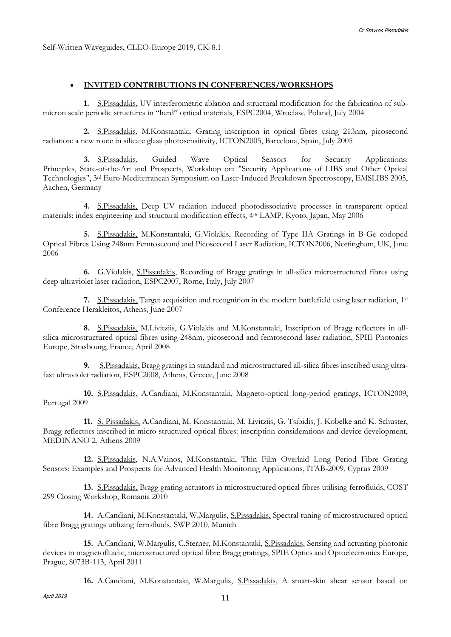#### **INVITED CONTRIBUTIONS IN CONFERENCES/WORKSHOPS**

**1.** S.Pissadakis, UV interferometric ablation and structural modification for the fabrication of submicron scale periodic structures in "hard" optical materials, ESPC2004, Wroclaw, Poland, July 2004

**2.** S.Pissadakis, M.Konstantaki, Grating inscription in optical fibres using 213nm, picosecond radiation: a new route in silicate glass photosensitivity, ICTON2005, Barcelona, Spain, July 2005

**3.** S.Pissadakis, Guided Wave Optical Sensors for Security Applications: Principles, State-of-the-Art and Prospects, Workshop on: "Security Applications of LIBS and Other Optical Technologies", 3rd Euro-Mediterranean Symposium on Laser-Induced Breakdown Spectroscopy, EMSLIBS 2005, Aachen, Germany

**4.** S.Pissadakis, Deep UV radiation induced photodissociative processes in transparent optical materials: index engineering and structural modification effects, 4th LAMP, Kyoto, Japan, May 2006

**5.** S.Pissadakis, M.Konstantaki, G.Violakis, Recording of Type IIA Gratings in B-Ge codoped Optical Fibres Using 248nm Femtosecond and Picosecond Laser Radiation, ICTON2006, Nottingham, UK, June 2006

**6.** G.Violakis, S.Pissadakis, Recording of Bragg gratings in all-silica microstructured fibres using deep ultraviolet laser radiation, ESPC2007, Rome, Italy, July 2007

**7.** S.Pissadakis, Target acquisition and recognition in the modern battlefield using laser radiation, 1st Conference Herakleitos, Athens, June 2007

**8.** S.Pissadakis, M.Livitziis, G.Violakis and M.Konstantaki, Inscription of Bragg reflectors in allsilica microstructured optical fibres using 248nm, picosecond and femtosecond laser radiation, SPIE Photonics Europe, Strasbourg, France, April 2008

**9.** S.Pissadakis, Bragg gratings in standard and microstructured all-silica fibres inscribed using ultrafast ultraviolet radiation, ESPC2008, Athens, Greece, June 2008

**10.** S.Pissadakis, A.Candiani, M.Konstantaki, Magneto-optical long-period gratings, ICTON2009, Portugal 2009

**11.** S. Pissadakis, A.Candiani, M. Konstantaki, M. Livitziis, G. Tsibidis, J. Kobelke and K. Schuster, Bragg reflectors inscribed in micro structured optical fibres: inscription considerations and device development, MEDINANO 2, Athens 2009

**12.** S.Pissadakis, N.A.Vainos, M.Konstantaki, Thin Film Overlaid Long Period Fibre Grating Sensors: Examples and Prospects for Advanced Health Monitoring Applications, ITAB-2009, Cyprus 2009

**13.** S.Pissadakis, Bragg grating actuators in microstructured optical fibres utilising ferrofluids, COST 299 Closing Workshop, Romania 2010

**14.** A.Candiani, M.Konstantaki, W.Margulis, S.Pissadakis, Spectral tuning of microstructured optical fibre Bragg gratings utilizing ferrofluids, SWP 2010, Munich

**15.** A.Candiani, W.Margulis, C.Sterner, M.Konstantaki, S.Pissadakis, Sensing and actuating photonic devices in magnetofluidic, microstructured optical fibre Bragg gratings, SPIE Optics and Optoelectronics Europe, Prague, 8073B-113, April 2011

**16.** A.Candiani, M.Konstantaki, W.Margulis, S.Pissadakis, A smart-skin shear sensor based on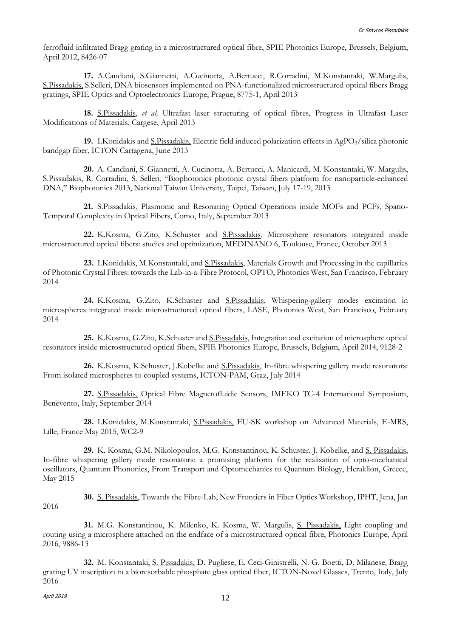ferrofluid infiltrated Bragg grating in a microstructured optical fibre, SPIE Photonics Europe, Brussels, Belgium, April 2012, 8426-07

**17.** A.Candiani, S.Giannetti, A.Cucinotta, A.Bertucci, R.Corradini, M.Konstantaki, W.Margulis, S.Pissadakis, S.Selleri, DNA biosensors implemented on PNA-functionalized microstructured optical fibers Bragg gratings, SPIE Optics and Optoelectronics Europe, Prague, 8775-1, April 2013

**18.** S.Pissadakis, *et al,* Ultrafast laser structuring of optical fibres, Progress in Ultrafast Laser Modifications of Materials, Cargese, April 2013

**19.** I.Konidakis and S.Pissadakis, Electric field induced polarization effects in AgPO3/silica photonic bandgap fiber, ICTON Cartagena, June 2013

**20.** A. Candiani, S. Giannetti, A. Cucinotta, A. Bertucci, A. Manicardi, M. Konstantaki, W. Margulis, S.Pissadakis, R. Corradini, S. Selleri, "Biophotonics photonic crystal fibers platform for nanoparticle-enhanced DNA," Biophotonics 2013, National Taiwan University, Taipei, Taiwan, July 17-19, 2013

**21.** S.Pissadakis, Plasmonic and Resonating Optical Operations inside MOFs and PCFs, Spatio-Temporal Complexity in Optical Fibers, Como, Italy, September 2013

**22.** K.Kosma, G.Zito, K.Schuster and S.Pissadakis, Microsphere resonators integrated inside microstructured optical fibers: studies and optimization, MEDINANO 6, Toulouse, France, October 2013

**23.** I.Konidakis, M.Konstantaki, and S.Pissadakis, Materials Growth and Processing in the capillaries of Photonic Crystal Fibres: towards the Lab-in-a-Fibre Protocol, OPTO, Photonics West, San Francisco, February 2014

**24.** K.Kosma, G.Zito, K.Schuster and S.Pissadakis, Whispering-gallery modes excitation in microspheres integrated inside microstructured optical fibers, LASE, Photonics West, San Francisco, February 2014

**25.** K.Kosma, G.Zito, K.Schuster and S.Pissadakis, Integration and excitation of microsphere optical resonators inside microstructured optical fibers, SPIE Photonics Europe, Brussels, Belgium, April 2014, 9128-2

**26.** K.Kosma, K.Schuster, J.Kobelke and S.Pissadakis, In-fibre whispering gallery mode resonators: From isolated microspheres to coupled systems, ICTON-PAM, Graz, July 2014

**27.** S.Pissadakis, Optical Fibre Magnetofluidic Sensors, IMEKO TC-4 International Symposium, Benevento, Italy, September 2014

**28.** I.Konidakis, M.Konstantaki, S.Pissadakis, EU-SK workshop on Advanced Materials, E-MRS, Lille, France May 2015, WC2-9

**29.** K. Kosma, G.M. Nikolopoulos, M.G. Konstantinou, K. Schuster, J. Kobelke, and S. Pissadakis, In-fibre whispering gallery mode resonators: a promising platform for the realisation of opto-mechanical oscillators, Quantum Phononics, From Transport and Optomechanics to Quantum Biology, Heraklion, Greece, May 2015

2016

**30.** S. Pissadakis, Towards the Fibre-Lab, New Frontiers in Fiber Optics Workshop, IPHT, Jena, Jan

**31.** M.G. Konstantinou, K. Milenko, K. Kosma, W. Margulis, S. Pissadakis, Light coupling and routing using a microsphere attached on the endface of a microstructured optical fibre, Photonics Europe, April 2016, 9886-13

**32.** M. Konstantaki, S. Pissadakis, D. Pugliese, E. Ceci-Ginistrelli, N. G. Boetti, D. Milanese, Bragg grating UV inscription in a bioresorbable phosphate glass optical fiber, ICTON-Novel Glasses, Trento, Italy, July 2016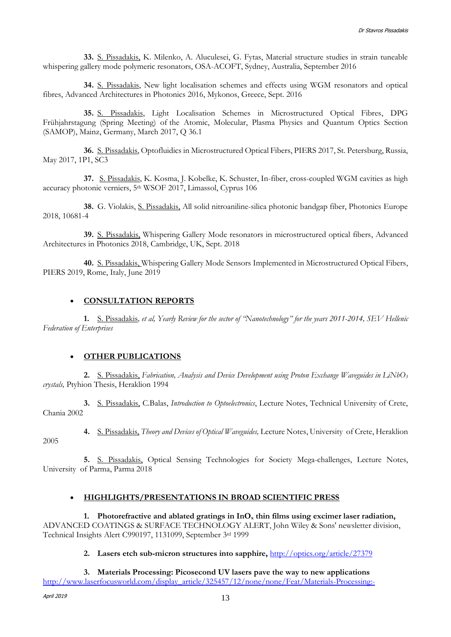**33.** S. Pissadakis, K. Milenko, A. Aluculesei, G. Fytas, Material structure studies in strain tuneable whispering gallery mode polymeric resonators, OSA-ACOFT, Sydney, Australia, September 2016

**34.** S. Pissadakis, New light localisation schemes and effects using WGM resonators and optical fibres, Advanced Architectures in Photonics 2016, Mykonos, Greece, Sept. 2016

**35.** S. Pissadakis, Light Localisation Schemes in Microstructured Optical Fibres, DPG Frühjahrstagung (Spring Meeting) of the Atomic, Molecular, Plasma Physics and Quantum Optics Section (SAMOP), Mainz, Germany, March 2017, Q 36.1

**36.** S. Pissadakis, Optofluidics in Microstructured Optical Fibers, PIERS 2017, St. Petersburg, Russia, May 2017, 1P1, SC3

**37.** S. Pissadakis, K. Kosma, J. Kobelke, K. Schuster, In-fiber, cross-coupled WGM cavities as high accuracy photonic verniers, 5<sup>th</sup> WSOF 2017, Limassol, Cyprus 106

**38.** G. Violakis, S. Pissadakis, All solid nitroaniline-silica photonic bandgap fiber, Photonics Europe 2018, 10681-4

**39.** S. Pissadakis, Whispering Gallery Mode resonators in microstructured optical fibers, Advanced Architectures in Photonics 2018, Cambridge, UK, Sept. 2018

**40.** S. Pissadakis, Whispering Gallery Mode Sensors Implemented in Microstructured Optical Fibers, PIERS 2019, Rome, Italy, June 2019

## **CONSULTATION REPORTS**

**1.** S. Pissadakis*, et al, Yearly Review for the sector of "Nanotechnology" for the years 2011-2014, SEV Hellenic Federation of Enterprises*

#### **OTHER PUBLICATIONS**

**2.** S. Pissadakis, *Fabrication, Analysis and Device Development using Proton Exchange Waveguides in LiNbO<sup>3</sup> crystals,* Ptyhion Thesis, Heraklion 1994

**3.** S. Pissadakis, C.Balas, *Introduction to Optoelectronics*, Lecture Notes, Technical University of Crete, Chania 2002

**4.** S. Pissadakis, *Theory and Devices of Optical Waveguides,* Lecture Notes, University of Crete, Heraklion

**5.** S. Pissadakis, Optical Sensing Technologies for Society Mega-challenges, Lecture Notes, University of Parma, Parma 2018

## **HIGHLIGHTS/PRESENTATIONS IN BROAD SCIENTIFIC PRESS**

**1. Photorefractive and ablated gratings in InO<sup>x</sup> thin films using excimer laser radiation,**  ADVANCED COATINGS & SURFACE TECHNOLOGY ALERT, John Wiley & Sons' newsletter division, Technical Insights Alert C990197, 1131099, September 3rd 1999

#### **2. Lasers etch sub-micron structures into sapphire,** <http://optics.org/article/27379>

**3. Materials Processing: Picosecond UV lasers pave the way to new applications** [http://www.laserfocusworld.com/display\\_article/325457/12/none/none/Feat/Materials-Processing:-](http://www.laserfocusworld.com/display_article/325457/12/none/none/Feat/Materials-Processing:-Picosecond-UV-lasers-pave-the-way-to-new-application)

2005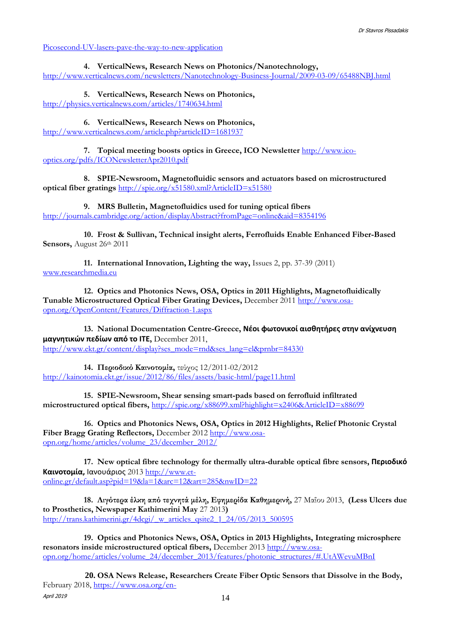[Picosecond-UV-lasers-pave-the-way-to-new-application](http://www.laserfocusworld.com/display_article/325457/12/none/none/Feat/Materials-Processing:-Picosecond-UV-lasers-pave-the-way-to-new-application)

**4. VerticalNews, Research News on Photonics/Nanotechnology,**  <http://www.verticalnews.com/newsletters/Nanotechnology-Business-Journal/2009-03-09/65488NBJ.html>

**5. VerticalNews, Research News on Photonics,** <http://physics.verticalnews.com/articles/1740634.html>

**6. VerticalNews, Research News on Photonics,**  <http://www.verticalnews.com/article.php?articleID=1681937>

**7. Topical meeting boosts optics in Greece, ICO Newsletter** [http://www.ico](http://www.ico-optics.org/pdfs/ICONewsletterApr2010.pdf)[optics.org/pdfs/ICONewsletterApr2010.pdf](http://www.ico-optics.org/pdfs/ICONewsletterApr2010.pdf)

**8. SPIE-Newsroom, Magnetofluidic sensors and actuators based on microstructured optical fiber gratings** <http://spie.org/x51580.xml?ArticleID=x51580>

**9. MRS Bulletin, Magnetofluidics used for tuning optical fibers** <http://journals.cambridge.org/action/displayAbstract?fromPage=online&aid=8354196>

**10. Frost & Sullivan, Technical insight alerts, Ferrofluids Enable Enhanced Fiber-Based Sensors,** August 26th 2011

**11. International Innovation, Lighting the way,** Issues 2, pp. 37-39 (2011) [www.researchmedia.eu](http://www.researchmedia.eu/)

**12. Optics and Photonics News, OSA, Optics in 2011 Highlights, Magnetofluidically Tunable Microstructured Optical Fiber Grating Devices,** December 2011 [http://www.osa](http://www.osa-opn.org/OpenContent/Features/Diffraction-1.aspx)[opn.org/OpenContent/Features/Diffraction-1.aspx](http://www.osa-opn.org/OpenContent/Features/Diffraction-1.aspx)

**13. National Documentation Centre-Greece, Νέοι φωτονικοί αισθητήρες στην ανίχνευση μαγνητικών πεδίων από το ΙΤΕ,** December 2011, [http://www.ekt.gr/content/display?ses\\_mode=rnd&ses\\_lang=el&prnbr=84330](http://www.ekt.gr/content/display?ses_mode=rnd&ses_lang=el&prnbr=84330)

**14. Περιοδικό Καινοτομία,** τεύχος 12/2011-02/2012 <http://kainotomia.ekt.gr/issue/2012/86/files/assets/basic-html/page11.html>

**15. SPIE-Newsroom, Shear sensing smart-pads based on ferrofluid infiltrated microstructured optical fibers,** <http://spie.org/x88699.xml?highlight=x2406&ArticleID=x88699>

**16. Optics and Photonics News, OSA, Optics in 2012 Highlights, Relief Photonic Crystal Fiber Bragg Grating Reflectors,** December 2012 [http://www.osa](http://www.osa-opn.org/home/articles/volume_23/december_2012/)[opn.org/home/articles/volume\\_23/december\\_2012/](http://www.osa-opn.org/home/articles/volume_23/december_2012/)

**17. New optical fibre technology for thermally ultra-durable optical fibre sensors, Περιοδικό Καινοτομία,** Ιανουάριος 2013 [http://www.et](http://www.et-online.gr/default.asp?pid=19&la=1&arc=12&art=285&nwID=22)[online.gr/default.asp?pid=19&la=1&arc=12&art=285&nwID=22](http://www.et-online.gr/default.asp?pid=19&la=1&arc=12&art=285&nwID=22)

**18. Λιγότερα έλκη από τεχνητά μέλη, Εφημερίδα Καθημερινή,** 27 Μαΐου 2013, **(Less Ulcers due to Prosthetics, Newspaper Kathimerini May** 27 2013**)**  [http://trans.kathimerini.gr/4dcgi/\\_w\\_articles\\_qsite2\\_1\\_24/05/2013\\_500595](http://trans.kathimerini.gr/4dcgi/_w_articles_qsite2_1_24/05/2013_500595)

**19. Optics and Photonics News, OSA, Optics in 2013 Highlights, Integrating microsphere resonators inside microstructured optical fibers,** December 2013 [http://www.osa](http://www.osa-opn.org/home/articles/volume_24/december_2013/features/photonic_structures/#.UtAWevuMBnI)[opn.org/home/articles/volume\\_24/december\\_2013/features/photonic\\_structures/#.UtAWevuMBnI](http://www.osa-opn.org/home/articles/volume_24/december_2013/features/photonic_structures/#.UtAWevuMBnI)

April 2019 **20. OSA News Release, Researchers Create Fiber Optic Sensors that Dissolve in the Body,** February 2018, [https://www.osa.org/en-](https://www.osa.org/en-us/about_osa/newsroom/news_releases/2018/researchers_create_fiber_optic_sensors_that_dissol/)